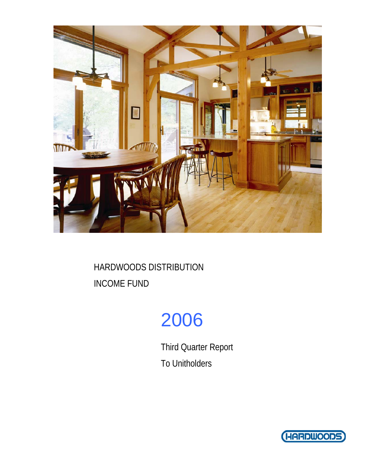

# 2006

Third Quarter Report To Unitholders

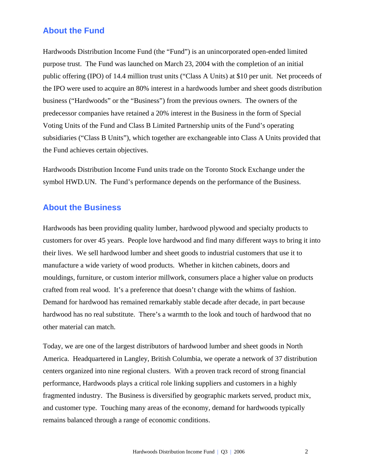## **About the Fund**

Hardwoods Distribution Income Fund (the "Fund") is an unincorporated open-ended limited purpose trust. The Fund was launched on March 23, 2004 with the completion of an initial public offering (IPO) of 14.4 million trust units ("Class A Units) at \$10 per unit. Net proceeds of the IPO were used to acquire an 80% interest in a hardwoods lumber and sheet goods distribution business ("Hardwoods" or the "Business") from the previous owners. The owners of the predecessor companies have retained a 20% interest in the Business in the form of Special Voting Units of the Fund and Class B Limited Partnership units of the Fund's operating subsidiaries ("Class B Units"), which together are exchangeable into Class A Units provided that the Fund achieves certain objectives.

Hardwoods Distribution Income Fund units trade on the Toronto Stock Exchange under the symbol HWD.UN. The Fund's performance depends on the performance of the Business.

## **About the Business**

Hardwoods has been providing quality lumber, hardwood plywood and specialty products to customers for over 45 years. People love hardwood and find many different ways to bring it into their lives. We sell hardwood lumber and sheet goods to industrial customers that use it to manufacture a wide variety of wood products. Whether in kitchen cabinets, doors and mouldings, furniture, or custom interior millwork, consumers place a higher value on products crafted from real wood. It's a preference that doesn't change with the whims of fashion. Demand for hardwood has remained remarkably stable decade after decade, in part because hardwood has no real substitute. There's a warmth to the look and touch of hardwood that no other material can match.

Today, we are one of the largest distributors of hardwood lumber and sheet goods in North America. Headquartered in Langley, British Columbia, we operate a network of 37 distribution centers organized into nine regional clusters. With a proven track record of strong financial performance, Hardwoods plays a critical role linking suppliers and customers in a highly fragmented industry. The Business is diversified by geographic markets served, product mix, and customer type. Touching many areas of the economy, demand for hardwoods typically remains balanced through a range of economic conditions.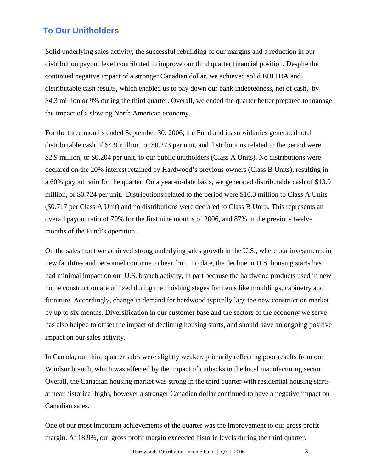## **To Our Unitholders**

Solid underlying sales activity, the successful rebuilding of our margins and a reduction in our distribution payout level contributed to improve our third quarter financial position. Despite the continued negative impact of a stronger Canadian dollar, we achieved solid EBITDA and distributable cash results, which enabled us to pay down our bank indebtedness, net of cash, by \$4.3 million or 9% during the third quarter. Overall, we ended the quarter better prepared to manage the impact of a slowing North American economy.

For the three months ended September 30, 2006, the Fund and its subsidiaries generated total distributable cash of \$4.9 million, or \$0.273 per unit, and distributions related to the period were \$2.9 million, or \$0.204 per unit, to our public unitholders (Class A Units). No distributions were declared on the 20% interest retained by Hardwood's previous owners (Class B Units), resulting in a 60% payout ratio for the quarter. On a year-to-date basis, we generated distributable cash of \$13.0 million, or \$0.724 per unit. Distributions related to the period were \$10.3 million to Class A Units (\$0.717 per Class A Unit) and no distributions were declared to Class B Units. This represents an overall payout ratio of 79% for the first nine months of 2006, and 87% in the previous twelve months of the Fund's operation.

On the sales front we achieved strong underlying sales growth in the U.S., where our investments in new facilities and personnel continue to bear fruit. To date, the decline in U.S. housing starts has had minimal impact on our U.S. branch activity, in part because the hardwood products used in new home construction are utilized during the finishing stages for items like mouldings, cabinetry and furniture. Accordingly, change in demand for hardwood typically lags the new construction market by up to six months. Diversification in our customer base and the sectors of the economy we serve has also helped to offset the impact of declining housing starts, and should have an ongoing positive impact on our sales activity.

In Canada, our third quarter sales were slightly weaker, primarily reflecting poor results from our Windsor branch, which was affected by the impact of cutbacks in the local manufacturing sector. Overall, the Canadian housing market was strong in the third quarter with residential housing starts at near historical highs, however a stronger Canadian dollar continued to have a negative impact on Canadian sales.

One of our most important achievements of the quarter was the improvement to our gross profit margin. At 18.9%, our gross profit margin exceeded historic levels during the third quarter.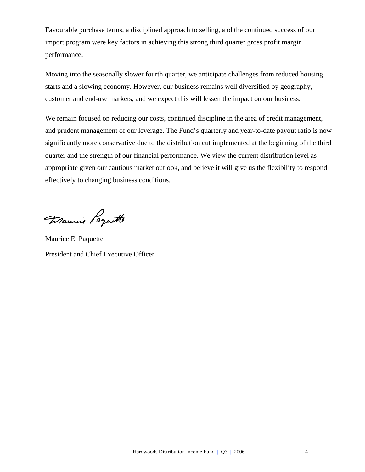Favourable purchase terms, a disciplined approach to selling, and the continued success of our import program were key factors in achieving this strong third quarter gross profit margin performance.

Moving into the seasonally slower fourth quarter, we anticipate challenges from reduced housing starts and a slowing economy. However, our business remains well diversified by geography, customer and end-use markets, and we expect this will lessen the impact on our business.

We remain focused on reducing our costs, continued discipline in the area of credit management, and prudent management of our leverage. The Fund's quarterly and year-to-date payout ratio is now significantly more conservative due to the distribution cut implemented at the beginning of the third quarter and the strength of our financial performance. We view the current distribution level as appropriate given our cautious market outlook, and believe it will give us the flexibility to respond effectively to changing business conditions.

Maurie Poquette

Maurice E. Paquette President and Chief Executive Officer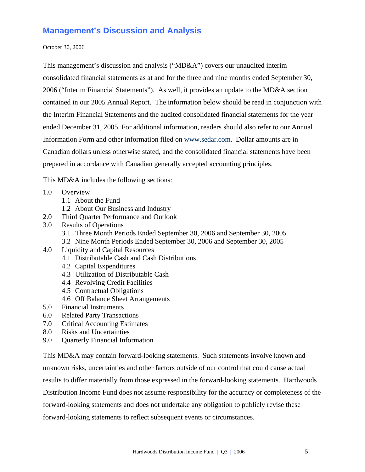## **Management's Discussion and Analysis**

October 30, 2006

This management's discussion and analysis ("MD&A") covers our unaudited interim consolidated financial statements as at and for the three and nine months ended September 30, 2006 ("Interim Financial Statements"). As well, it provides an update to the MD&A section contained in our 2005 Annual Report. The information below should be read in conjunction with the Interim Financial Statements and the audited consolidated financial statements for the year ended December 31, 2005. For additional information, readers should also refer to our Annual Information Form and other information filed on www.sedar.com. Dollar amounts are in Canadian dollars unless otherwise stated, and the consolidated financial statements have been prepared in accordance with Canadian generally accepted accounting principles.

This MD&A includes the following sections:

- 1.0 Overview
	- 1.1 About the Fund
	- 1.2 About Our Business and Industry
- 2.0 Third Quarter Performance and Outlook
- 3.0 Results of Operations
	- 3.1 Three Month Periods Ended September 30, 2006 and September 30, 2005
	- 3.2 Nine Month Periods Ended September 30, 2006 and September 30, 2005
- 4.0 Liquidity and Capital Resources
	- 4.1 Distributable Cash and Cash Distributions
	- 4.2 Capital Expenditures
	- 4.3 Utilization of Distributable Cash
	- 4.4 Revolving Credit Facilities
	- 4.5 Contractual Obligations
	- 4.6 Off Balance Sheet Arrangements
- 5.0 Financial Instruments
- 6.0 Related Party Transactions
- 7.0 Critical Accounting Estimates
- 8.0 Risks and Uncertainties
- 9.0 Quarterly Financial Information

This MD&A may contain forward-looking statements. Such statements involve known and unknown risks, uncertainties and other factors outside of our control that could cause actual results to differ materially from those expressed in the forward-looking statements. Hardwoods Distribution Income Fund does not assume responsibility for the accuracy or completeness of the forward-looking statements and does not undertake any obligation to publicly revise these forward-looking statements to reflect subsequent events or circumstances.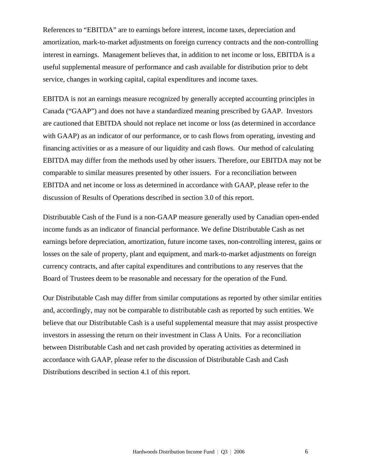References to "EBITDA" are to earnings before interest, income taxes, depreciation and amortization, mark-to-market adjustments on foreign currency contracts and the non-controlling interest in earnings. Management believes that, in addition to net income or loss, EBITDA is a useful supplemental measure of performance and cash available for distribution prior to debt service, changes in working capital, capital expenditures and income taxes.

EBITDA is not an earnings measure recognized by generally accepted accounting principles in Canada ("GAAP") and does not have a standardized meaning prescribed by GAAP. Investors are cautioned that EBITDA should not replace net income or loss (as determined in accordance with GAAP) as an indicator of our performance, or to cash flows from operating, investing and financing activities or as a measure of our liquidity and cash flows. Our method of calculating EBITDA may differ from the methods used by other issuers. Therefore, our EBITDA may not be comparable to similar measures presented by other issuers. For a reconciliation between EBITDA and net income or loss as determined in accordance with GAAP, please refer to the discussion of Results of Operations described in section 3.0 of this report.

Distributable Cash of the Fund is a non-GAAP measure generally used by Canadian open-ended income funds as an indicator of financial performance. We define Distributable Cash as net earnings before depreciation, amortization, future income taxes, non-controlling interest, gains or losses on the sale of property, plant and equipment, and mark-to-market adjustments on foreign currency contracts, and after capital expenditures and contributions to any reserves that the Board of Trustees deem to be reasonable and necessary for the operation of the Fund.

Our Distributable Cash may differ from similar computations as reported by other similar entities and, accordingly, may not be comparable to distributable cash as reported by such entities. We believe that our Distributable Cash is a useful supplemental measure that may assist prospective investors in assessing the return on their investment in Class A Units. For a reconciliation between Distributable Cash and net cash provided by operating activities as determined in accordance with GAAP, please refer to the discussion of Distributable Cash and Cash Distributions described in section 4.1 of this report.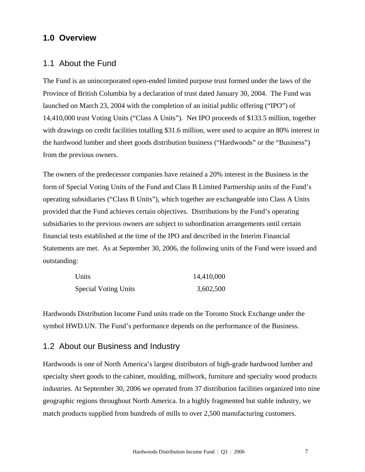## **1.0 Overview**

## 1.1 About the Fund

The Fund is an unincorporated open-ended limited purpose trust formed under the laws of the Province of British Columbia by a declaration of trust dated January 30, 2004. The Fund was launched on March 23, 2004 with the completion of an initial public offering ("IPO") of 14,410,000 trust Voting Units ("Class A Units"). Net IPO proceeds of \$133.5 million, together with drawings on credit facilities totalling \$31.6 million, were used to acquire an 80% interest in the hardwood lumber and sheet goods distribution business ("Hardwoods" or the "Business") from the previous owners.

The owners of the predecessor companies have retained a 20% interest in the Business in the form of Special Voting Units of the Fund and Class B Limited Partnership units of the Fund's operating subsidiaries ("Class B Units"), which together are exchangeable into Class A Units provided that the Fund achieves certain objectives. Distributions by the Fund's operating subsidiaries to the previous owners are subject to subordination arrangements until certain financial tests established at the time of the IPO and described in the Interim Financial Statements are met. As at September 30, 2006, the following units of the Fund were issued and outstanding:

| Units                       | 14,410,000 |
|-----------------------------|------------|
| <b>Special Voting Units</b> | 3,602,500  |

Hardwoods Distribution Income Fund units trade on the Toronto Stock Exchange under the symbol HWD.UN. The Fund's performance depends on the performance of the Business.

## 1.2 About our Business and Industry

Hardwoods is one of North America's largest distributors of high-grade hardwood lumber and specialty sheet goods to the cabinet, moulding, millwork, furniture and specialty wood products industries. At September 30, 2006 we operated from 37 distribution facilities organized into nine geographic regions throughout North America. In a highly fragmented but stable industry, we match products supplied from hundreds of mills to over 2,500 manufacturing customers.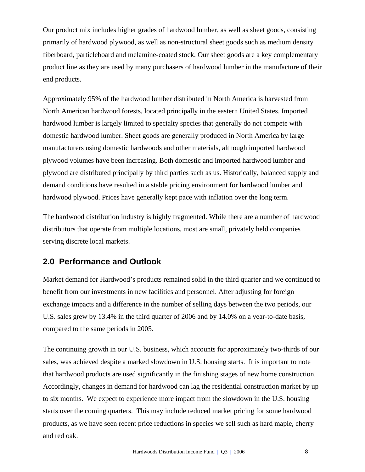Our product mix includes higher grades of hardwood lumber, as well as sheet goods, consisting primarily of hardwood plywood, as well as non-structural sheet goods such as medium density fiberboard, particleboard and melamine-coated stock. Our sheet goods are a key complementary product line as they are used by many purchasers of hardwood lumber in the manufacture of their end products.

Approximately 95% of the hardwood lumber distributed in North America is harvested from North American hardwood forests, located principally in the eastern United States. Imported hardwood lumber is largely limited to specialty species that generally do not compete with domestic hardwood lumber. Sheet goods are generally produced in North America by large manufacturers using domestic hardwoods and other materials, although imported hardwood plywood volumes have been increasing. Both domestic and imported hardwood lumber and plywood are distributed principally by third parties such as us. Historically, balanced supply and demand conditions have resulted in a stable pricing environment for hardwood lumber and hardwood plywood. Prices have generally kept pace with inflation over the long term.

The hardwood distribution industry is highly fragmented. While there are a number of hardwood distributors that operate from multiple locations, most are small, privately held companies serving discrete local markets.

## **2.0 Performance and Outlook**

Market demand for Hardwood's products remained solid in the third quarter and we continued to benefit from our investments in new facilities and personnel. After adjusting for foreign exchange impacts and a difference in the number of selling days between the two periods, our U.S. sales grew by 13.4% in the third quarter of 2006 and by 14.0% on a year-to-date basis, compared to the same periods in 2005.

The continuing growth in our U.S. business, which accounts for approximately two-thirds of our sales, was achieved despite a marked slowdown in U.S. housing starts. It is important to note that hardwood products are used significantly in the finishing stages of new home construction. Accordingly, changes in demand for hardwood can lag the residential construction market by up to six months. We expect to experience more impact from the slowdown in the U.S. housing starts over the coming quarters. This may include reduced market pricing for some hardwood products, as we have seen recent price reductions in species we sell such as hard maple, cherry and red oak.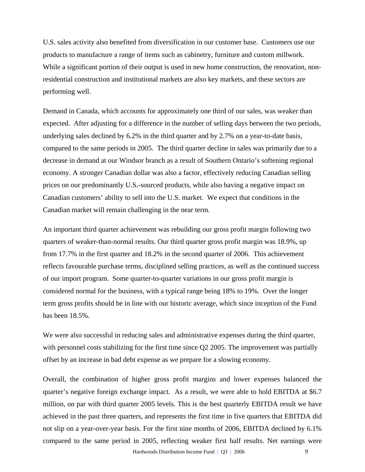U.S. sales activity also benefited from diversification in our customer base. Customers use our products to manufacture a range of items such as cabinetry, furniture and custom millwork. While a significant portion of their output is used in new home construction, the renovation, nonresidential construction and institutional markets are also key markets, and these sectors are performing well.

Demand in Canada, which accounts for approximately one third of our sales, was weaker than expected. After adjusting for a difference in the number of selling days between the two periods, underlying sales declined by 6.2% in the third quarter and by 2.7% on a year-to-date basis, compared to the same periods in 2005. The third quarter decline in sales was primarily due to a decrease in demand at our Windsor branch as a result of Southern Ontario's softening regional economy. A stronger Canadian dollar was also a factor, effectively reducing Canadian selling prices on our predominantly U.S.-sourced products, while also having a negative impact on Canadian customers' ability to sell into the U.S. market. We expect that conditions in the Canadian market will remain challenging in the near term.

An important third quarter achievement was rebuilding our gross profit margin following two quarters of weaker-than-normal results. Our third quarter gross profit margin was 18.9%, up from 17.7% in the first quarter and 18.2% in the second quarter of 2006. This achievement reflects favourable purchase terms, disciplined selling practices, as well as the continued success of our import program. Some quarter-to-quarter variations in our gross profit margin is considered normal for the business, with a typical range being 18% to 19%. Over the longer term gross profits should be in line with our historic average, which since inception of the Fund has been 18.5%.

We were also successful in reducing sales and administrative expenses during the third quarter, with personnel costs stabilizing for the first time since Q2 2005. The improvement was partially offset by an increase in bad debt expense as we prepare for a slowing economy.

Overall, the combination of higher gross profit margins and lower expenses balanced the quarter's negative foreign exchange impact. As a result, we were able to hold EBITDA at \$6.7 million, on par with third quarter 2005 levels. This is the best quarterly EBITDA result we have achieved in the past three quarters, and represents the first time in five quarters that EBITDA did not slip on a year-over-year basis. For the first nine months of 2006, EBITDA declined by 6.1% compared to the same period in 2005, reflecting weaker first half results. Net earnings were

Hardwoods Distribution Income Fund | O3 | 2006 9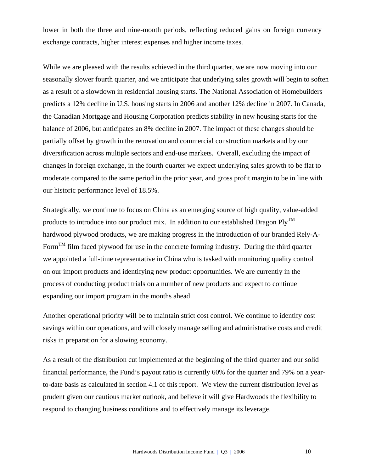lower in both the three and nine-month periods, reflecting reduced gains on foreign currency exchange contracts, higher interest expenses and higher income taxes.

While we are pleased with the results achieved in the third quarter, we are now moving into our seasonally slower fourth quarter, and we anticipate that underlying sales growth will begin to soften as a result of a slowdown in residential housing starts. The National Association of Homebuilders predicts a 12% decline in U.S. housing starts in 2006 and another 12% decline in 2007. In Canada, the Canadian Mortgage and Housing Corporation predicts stability in new housing starts for the balance of 2006, but anticipates an 8% decline in 2007. The impact of these changes should be partially offset by growth in the renovation and commercial construction markets and by our diversification across multiple sectors and end-use markets. Overall, excluding the impact of changes in foreign exchange, in the fourth quarter we expect underlying sales growth to be flat to moderate compared to the same period in the prior year, and gross profit margin to be in line with our historic performance level of 18.5%.

Strategically, we continue to focus on China as an emerging source of high quality, value-added products to introduce into our product mix. In addition to our established Dragon  $\text{Plv}^{\text{TM}}$ hardwood plywood products, we are making progress in the introduction of our branded Rely-A-Form<sup>TM</sup> film faced plywood for use in the concrete forming industry. During the third quarter we appointed a full-time representative in China who is tasked with monitoring quality control on our import products and identifying new product opportunities. We are currently in the process of conducting product trials on a number of new products and expect to continue expanding our import program in the months ahead.

Another operational priority will be to maintain strict cost control. We continue to identify cost savings within our operations, and will closely manage selling and administrative costs and credit risks in preparation for a slowing economy.

As a result of the distribution cut implemented at the beginning of the third quarter and our solid financial performance, the Fund's payout ratio is currently 60% for the quarter and 79% on a yearto-date basis as calculated in section 4.1 of this report. We view the current distribution level as prudent given our cautious market outlook, and believe it will give Hardwoods the flexibility to respond to changing business conditions and to effectively manage its leverage.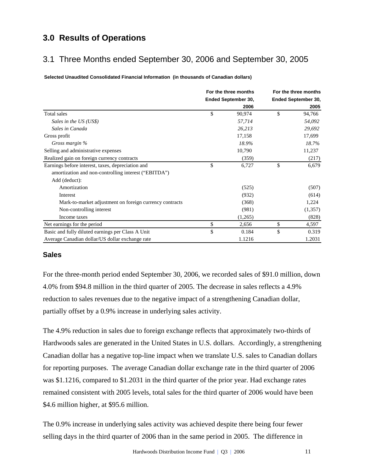## **3.0 Results of Operations**

## 3.1 Three Months ended September 30, 2006 and September 30, 2005

**Selected Unaudited Consolidated Financial Information (in thousands of Canadian dollars)**

|                                                         | For the three months | For the three months |
|---------------------------------------------------------|----------------------|----------------------|
|                                                         | Ended September 30,  | Ended September 30,  |
|                                                         | 2006                 | 2005                 |
| Total sales                                             | \$<br>90,974         | \$<br>94,766         |
| Sales in the US (US\$)                                  | 57,714               | 54,092               |
| Sales in Canada                                         | 26,213               | 29,692               |
| Gross profit                                            | 17,158               | 17,699               |
| Gross margin %                                          | 18.9%                | 18.7%                |
| Selling and administrative expenses                     | 10,790               | 11,237               |
| Realized gain on foreign currency contracts             | (359)                | (217)                |
| Earnings before interest, taxes, depreciation and       | \$<br>6,727          | \$<br>6,679          |
| amortization and non-controlling interest ("EBITDA")    |                      |                      |
| Add (deduct):                                           |                      |                      |
| Amortization                                            | (525)                | (507)                |
| Interest                                                | (932)                | (614)                |
| Mark-to-market adjustment on foreign currency contracts | (368)                | 1,224                |
| Non-controlling interest                                | (981)                | (1,357)              |
| Income taxes                                            | (1,265)              | (828)                |
| Net earnings for the period                             | \$<br>2,656          | \$<br>4,597          |
| Basic and fully diluted earnings per Class A Unit       | \$<br>0.184          | \$<br>0.319          |
| Average Canadian dollar/US dollar exchange rate         | 1.1216               | 1.2031               |

## **Sales**

For the three-month period ended September 30, 2006, we recorded sales of \$91.0 million, down 4.0% from \$94.8 million in the third quarter of 2005. The decrease in sales reflects a 4.9% reduction to sales revenues due to the negative impact of a strengthening Canadian dollar, partially offset by a 0.9% increase in underlying sales activity.

The 4.9% reduction in sales due to foreign exchange reflects that approximately two-thirds of Hardwoods sales are generated in the United States in U.S. dollars. Accordingly, a strengthening Canadian dollar has a negative top-line impact when we translate U.S. sales to Canadian dollars for reporting purposes. The average Canadian dollar exchange rate in the third quarter of 2006 was \$1.1216, compared to \$1.2031 in the third quarter of the prior year. Had exchange rates remained consistent with 2005 levels, total sales for the third quarter of 2006 would have been \$4.6 million higher, at \$95.6 million.

The 0.9% increase in underlying sales activity was achieved despite there being four fewer selling days in the third quarter of 2006 than in the same period in 2005. The difference in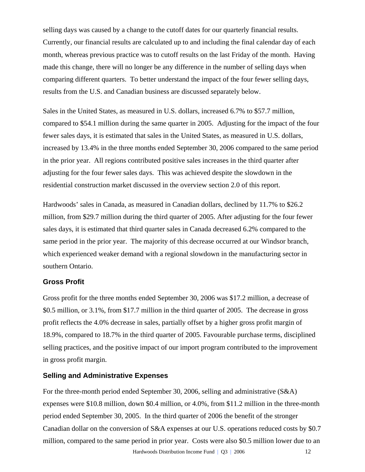selling days was caused by a change to the cutoff dates for our quarterly financial results. Currently, our financial results are calculated up to and including the final calendar day of each month, whereas previous practice was to cutoff results on the last Friday of the month. Having made this change, there will no longer be any difference in the number of selling days when comparing different quarters. To better understand the impact of the four fewer selling days, results from the U.S. and Canadian business are discussed separately below.

Sales in the United States, as measured in U.S. dollars, increased 6.7% to \$57.7 million, compared to \$54.1 million during the same quarter in 2005. Adjusting for the impact of the four fewer sales days, it is estimated that sales in the United States, as measured in U.S. dollars, increased by 13.4% in the three months ended September 30, 2006 compared to the same period in the prior year. All regions contributed positive sales increases in the third quarter after adjusting for the four fewer sales days. This was achieved despite the slowdown in the residential construction market discussed in the overview section 2.0 of this report.

Hardwoods' sales in Canada, as measured in Canadian dollars, declined by 11.7% to \$26.2 million, from \$29.7 million during the third quarter of 2005. After adjusting for the four fewer sales days, it is estimated that third quarter sales in Canada decreased 6.2% compared to the same period in the prior year. The majority of this decrease occurred at our Windsor branch, which experienced weaker demand with a regional slowdown in the manufacturing sector in southern Ontario.

## **Gross Profit**

Gross profit for the three months ended September 30, 2006 was \$17.2 million, a decrease of \$0.5 million, or 3.1%, from \$17.7 million in the third quarter of 2005. The decrease in gross profit reflects the 4.0% decrease in sales, partially offset by a higher gross profit margin of 18.9%, compared to 18.7% in the third quarter of 2005. Favourable purchase terms, disciplined selling practices, and the positive impact of our import program contributed to the improvement in gross profit margin.

#### **Selling and Administrative Expenses**

For the three-month period ended September 30, 2006, selling and administrative (S&A) expenses were \$10.8 million, down \$0.4 million, or 4.0%, from \$11.2 million in the three-month period ended September 30, 2005. In the third quarter of 2006 the benefit of the stronger Canadian dollar on the conversion of S&A expenses at our U.S. operations reduced costs by \$0.7 million, compared to the same period in prior year. Costs were also \$0.5 million lower due to an

Hardwoods Distribution Income Fund | O3 | 2006 12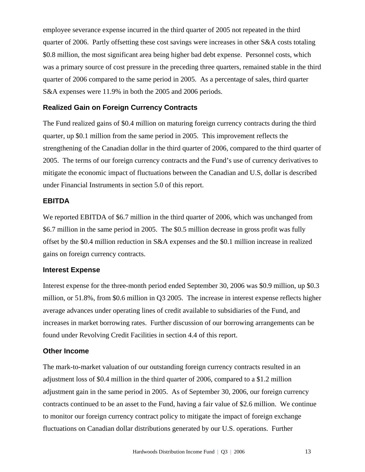employee severance expense incurred in the third quarter of 2005 not repeated in the third quarter of 2006. Partly offsetting these cost savings were increases in other S&A costs totaling \$0.8 million, the most significant area being higher bad debt expense. Personnel costs, which was a primary source of cost pressure in the preceding three quarters, remained stable in the third quarter of 2006 compared to the same period in 2005. As a percentage of sales, third quarter S&A expenses were 11.9% in both the 2005 and 2006 periods.

## **Realized Gain on Foreign Currency Contracts**

The Fund realized gains of \$0.4 million on maturing foreign currency contracts during the third quarter, up \$0.1 million from the same period in 2005. This improvement reflects the strengthening of the Canadian dollar in the third quarter of 2006, compared to the third quarter of 2005. The terms of our foreign currency contracts and the Fund's use of currency derivatives to mitigate the economic impact of fluctuations between the Canadian and U.S, dollar is described under Financial Instruments in section 5.0 of this report.

### **EBITDA**

We reported EBITDA of \$6.7 million in the third quarter of 2006, which was unchanged from \$6.7 million in the same period in 2005. The \$0.5 million decrease in gross profit was fully offset by the \$0.4 million reduction in S&A expenses and the \$0.1 million increase in realized gains on foreign currency contracts.

#### **Interest Expense**

Interest expense for the three-month period ended September 30, 2006 was \$0.9 million, up \$0.3 million, or 51.8%, from \$0.6 million in Q3 2005. The increase in interest expense reflects higher average advances under operating lines of credit available to subsidiaries of the Fund, and increases in market borrowing rates. Further discussion of our borrowing arrangements can be found under Revolving Credit Facilities in section 4.4 of this report.

### **Other Income**

The mark-to-market valuation of our outstanding foreign currency contracts resulted in an adjustment loss of \$0.4 million in the third quarter of 2006, compared to a \$1.2 million adjustment gain in the same period in 2005. As of September 30, 2006, our foreign currency contracts continued to be an asset to the Fund, having a fair value of \$2.6 million. We continue to monitor our foreign currency contract policy to mitigate the impact of foreign exchange fluctuations on Canadian dollar distributions generated by our U.S. operations. Further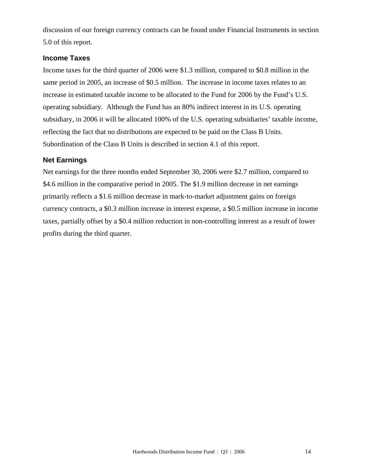discussion of our foreign currency contracts can be found under Financial Instruments in section 5.0 of this report.

## **Income Taxes**

Income taxes for the third quarter of 2006 were \$1.3 million, compared to \$0.8 million in the same period in 2005, an increase of \$0.5 million. The increase in income taxes relates to an increase in estimated taxable income to be allocated to the Fund for 2006 by the Fund's U.S. operating subsidiary. Although the Fund has an 80% indirect interest in its U.S. operating subsidiary, in 2006 it will be allocated 100% of the U.S. operating subsidiaries' taxable income, reflecting the fact that no distributions are expected to be paid on the Class B Units. Subordination of the Class B Units is described in section 4.1 of this report.

## **Net Earnings**

Net earnings for the three months ended September 30, 2006 were \$2.7 million, compared to \$4.6 million in the comparative period in 2005. The \$1.9 million decrease in net earnings primarily reflects a \$1.6 million decrease in mark-to-market adjustment gains on foreign currency contracts, a \$0.3 million increase in interest expense, a \$0.5 million increase in income taxes, partially offset by a \$0.4 million reduction in non-controlling interest as a result of lower profits during the third quarter.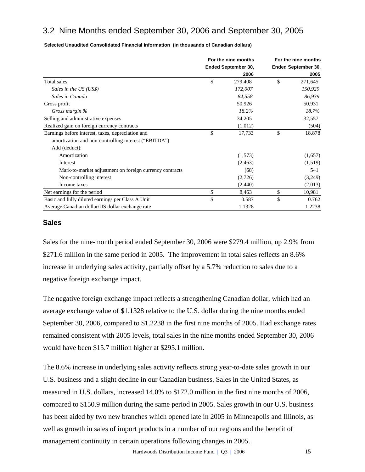## 3.2 Nine Months ended September 30, 2006 and September 30, 2005

**Selected Unaudited Consolidated Financial Information (in thousands of Canadian dollars)**

|                                                         | For the nine months        | For the nine months        |
|---------------------------------------------------------|----------------------------|----------------------------|
|                                                         | <b>Ended September 30,</b> | <b>Ended September 30,</b> |
|                                                         | 2006                       | 2005                       |
| Total sales                                             | \$<br>279,408              | \$<br>271,645              |
| Sales in the US (US\$)                                  | 172,007                    | 150,929                    |
| Sales in Canada                                         | 84,558                     | 86,939                     |
| Gross profit                                            | 50,926                     | 50,931                     |
| Gross margin %                                          | 18.2%                      | 18.7%                      |
| Selling and administrative expenses                     | 34,205                     | 32,557                     |
| Realized gain on foreign currency contracts             | (1,012)                    | (504)                      |
| Earnings before interest, taxes, depreciation and       | \$<br>17,733               | \$<br>18,878               |
| amortization and non-controlling interest ("EBITDA")    |                            |                            |
| Add (deduct):                                           |                            |                            |
| Amortization                                            | (1,573)                    | (1,657)                    |
| Interest                                                | (2,463)                    | (1,519)                    |
| Mark-to-market adjustment on foreign currency contracts | (68)                       | 541                        |
| Non-controlling interest                                | (2,726)                    | (3,249)                    |
| Income taxes                                            | (2,440)                    | (2,013)                    |
| Net earnings for the period                             | \$<br>8,463                | \$<br>10,981               |
| Basic and fully diluted earnings per Class A Unit       | \$<br>0.587                | \$<br>0.762                |
| Average Canadian dollar/US dollar exchange rate         | 1.1328                     | 1.2238                     |

#### **Sales**

Sales for the nine-month period ended September 30, 2006 were \$279.4 million, up 2.9% from \$271.6 million in the same period in 2005. The improvement in total sales reflects an 8.6% increase in underlying sales activity, partially offset by a 5.7% reduction to sales due to a negative foreign exchange impact.

The negative foreign exchange impact reflects a strengthening Canadian dollar, which had an average exchange value of \$1.1328 relative to the U.S. dollar during the nine months ended September 30, 2006, compared to \$1.2238 in the first nine months of 2005. Had exchange rates remained consistent with 2005 levels, total sales in the nine months ended September 30, 2006 would have been \$15.7 million higher at \$295.1 million.

The 8.6% increase in underlying sales activity reflects strong year-to-date sales growth in our U.S. business and a slight decline in our Canadian business. Sales in the United States, as measured in U.S. dollars, increased 14.0% to \$172.0 million in the first nine months of 2006, compared to \$150.9 million during the same period in 2005. Sales growth in our U.S. business has been aided by two new branches which opened late in 2005 in Minneapolis and Illinois, as well as growth in sales of import products in a number of our regions and the benefit of management continuity in certain operations following changes in 2005.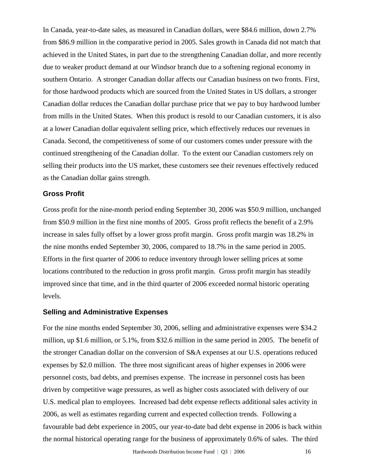In Canada, year-to-date sales, as measured in Canadian dollars, were \$84.6 million, down 2.7% from \$86.9 million in the comparative period in 2005. Sales growth in Canada did not match that achieved in the United States, in part due to the strengthening Canadian dollar, and more recently due to weaker product demand at our Windsor branch due to a softening regional economy in southern Ontario. A stronger Canadian dollar affects our Canadian business on two fronts. First, for those hardwood products which are sourced from the United States in US dollars, a stronger Canadian dollar reduces the Canadian dollar purchase price that we pay to buy hardwood lumber from mills in the United States. When this product is resold to our Canadian customers, it is also at a lower Canadian dollar equivalent selling price, which effectively reduces our revenues in Canada. Second, the competitiveness of some of our customers comes under pressure with the continued strengthening of the Canadian dollar. To the extent our Canadian customers rely on selling their products into the US market, these customers see their revenues effectively reduced as the Canadian dollar gains strength.

### **Gross Profit**

Gross profit for the nine-month period ending September 30, 2006 was \$50.9 million, unchanged from \$50.9 million in the first nine months of 2005. Gross profit reflects the benefit of a 2.9% increase in sales fully offset by a lower gross profit margin. Gross profit margin was 18.2% in the nine months ended September 30, 2006, compared to 18.7% in the same period in 2005. Efforts in the first quarter of 2006 to reduce inventory through lower selling prices at some locations contributed to the reduction in gross profit margin. Gross profit margin has steadily improved since that time, and in the third quarter of 2006 exceeded normal historic operating levels.

## **Selling and Administrative Expenses**

For the nine months ended September 30, 2006, selling and administrative expenses were \$34.2 million, up \$1.6 million, or 5.1%, from \$32.6 million in the same period in 2005. The benefit of the stronger Canadian dollar on the conversion of S&A expenses at our U.S. operations reduced expenses by \$2.0 million. The three most significant areas of higher expenses in 2006 were personnel costs, bad debts, and premises expense. The increase in personnel costs has been driven by competitive wage pressures, as well as higher costs associated with delivery of our U.S. medical plan to employees. Increased bad debt expense reflects additional sales activity in 2006, as well as estimates regarding current and expected collection trends. Following a favourable bad debt experience in 2005, our year-to-date bad debt expense in 2006 is back within the normal historical operating range for the business of approximately 0.6% of sales. The third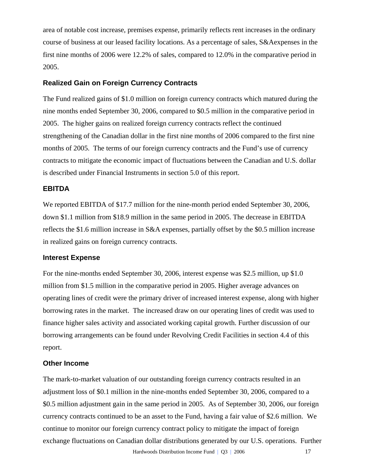area of notable cost increase, premises expense, primarily reflects rent increases in the ordinary course of business at our leased facility locations. As a percentage of sales, S&Aexpenses in the first nine months of 2006 were 12.2% of sales, compared to 12.0% in the comparative period in 2005.

## **Realized Gain on Foreign Currency Contracts**

The Fund realized gains of \$1.0 million on foreign currency contracts which matured during the nine months ended September 30, 2006, compared to \$0.5 million in the comparative period in 2005. The higher gains on realized foreign currency contracts reflect the continued strengthening of the Canadian dollar in the first nine months of 2006 compared to the first nine months of 2005. The terms of our foreign currency contracts and the Fund's use of currency contracts to mitigate the economic impact of fluctuations between the Canadian and U.S. dollar is described under Financial Instruments in section 5.0 of this report.

#### **EBITDA**

We reported EBITDA of \$17.7 million for the nine-month period ended September 30, 2006, down \$1.1 million from \$18.9 million in the same period in 2005. The decrease in EBITDA reflects the \$1.6 million increase in S&A expenses, partially offset by the \$0.5 million increase in realized gains on foreign currency contracts.

#### **Interest Expense**

For the nine-months ended September 30, 2006, interest expense was \$2.5 million, up \$1.0 million from \$1.5 million in the comparative period in 2005. Higher average advances on operating lines of credit were the primary driver of increased interest expense, along with higher borrowing rates in the market. The increased draw on our operating lines of credit was used to finance higher sales activity and associated working capital growth. Further discussion of our borrowing arrangements can be found under Revolving Credit Facilities in section 4.4 of this report.

#### **Other Income**

The mark-to-market valuation of our outstanding foreign currency contracts resulted in an adjustment loss of \$0.1 million in the nine-months ended September 30, 2006, compared to a \$0.5 million adjustment gain in the same period in 2005. As of September 30, 2006, our foreign currency contracts continued to be an asset to the Fund, having a fair value of \$2.6 million. We continue to monitor our foreign currency contract policy to mitigate the impact of foreign exchange fluctuations on Canadian dollar distributions generated by our U.S. operations. Further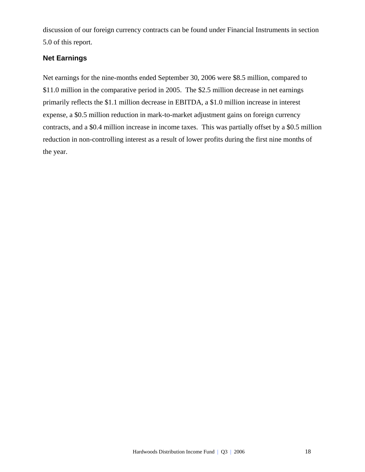discussion of our foreign currency contracts can be found under Financial Instruments in section 5.0 of this report.

## **Net Earnings**

Net earnings for the nine-months ended September 30, 2006 were \$8.5 million, compared to \$11.0 million in the comparative period in 2005. The \$2.5 million decrease in net earnings primarily reflects the \$1.1 million decrease in EBITDA, a \$1.0 million increase in interest expense, a \$0.5 million reduction in mark-to-market adjustment gains on foreign currency contracts, and a \$0.4 million increase in income taxes. This was partially offset by a \$0.5 million reduction in non-controlling interest as a result of lower profits during the first nine months of the year.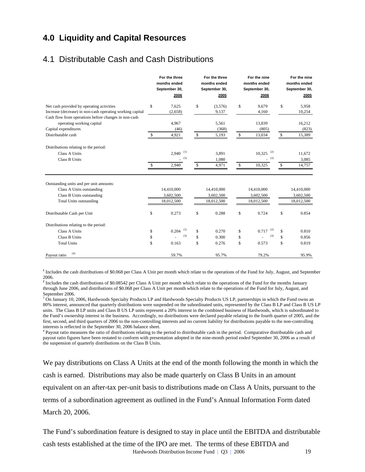## **4.0 Liquidity and Capital Resources**

## 4.1 Distributable Cash and Cash Distributions

|                                                           |    | For the three<br>months ended<br>September 30,<br>2006 | For the three<br>months ended<br>September 30,<br>2005 |               | For the nine<br>months ended<br>September 30,<br>2006 | For the nine<br>months ended<br>September 30,<br>2005 |
|-----------------------------------------------------------|----|--------------------------------------------------------|--------------------------------------------------------|---------------|-------------------------------------------------------|-------------------------------------------------------|
| Net cash provided by operating activities                 | \$ | 7,625                                                  | \$<br>(3,576)                                          | \$            | 9,679                                                 | \$<br>5,958                                           |
| Increase (decrease) in non-cash operating working capital |    | (2,658)                                                | 9,137                                                  |               | 4,160                                                 | 10,254                                                |
| Cash flow from operations before changes in non-cash      |    |                                                        |                                                        |               |                                                       |                                                       |
| operating working capital                                 |    | 4,967                                                  | 5,561                                                  |               | 13,839                                                | 16,212                                                |
| Capital expenditures                                      |    | (46)                                                   | (368)                                                  |               | (805)                                                 | (823)                                                 |
| Distributable cash                                        |    | 4,921                                                  | \$<br>5,193                                            | <sup>\$</sup> | 13,034                                                | \$<br>15,389                                          |
| Distributions relating to the period:                     |    |                                                        |                                                        |               |                                                       |                                                       |
| <b>Class A Units</b>                                      |    | (1)<br>2,940                                           | 3,891                                                  |               | (2)<br>10,325                                         | 11,672                                                |
| <b>Class B Units</b>                                      |    | (3)                                                    | 1,080                                                  |               | (3)                                                   | 3,085                                                 |
|                                                           | -S | 2,940                                                  | \$<br>4,971                                            | S             | 10,325                                                | 14,757                                                |
| Outstanding units and per unit amounts:                   |    |                                                        |                                                        |               |                                                       |                                                       |
| Class A Units outstanding                                 |    | 14,410,000                                             | 14,410,000                                             |               | 14,410,000                                            | 14,410,000                                            |
| Class B Units outstanding                                 |    | 3,602,500                                              | 3,602,500                                              |               | 3,602,500                                             | 3,602,500                                             |
| <b>Total Units outstanding</b>                            |    | 18,012,500                                             | 18,012,500                                             |               | 18,012,500                                            | 18,012,500                                            |
| Distributable Cash per Unit                               | \$ | 0.273                                                  | \$<br>0.288                                            | \$            | 0.724                                                 | \$<br>0.854                                           |
| Distributions relating to the period:                     |    |                                                        |                                                        |               |                                                       |                                                       |
| <b>Class A Units</b>                                      | \$ | (1)<br>0.204                                           | \$<br>0.270                                            | \$            | (2)<br>0.717                                          | \$<br>0.810                                           |
| <b>Class B Units</b>                                      | \$ | (3)                                                    | \$<br>0.300                                            | \$            | (3)                                                   | \$<br>0.856                                           |
| <b>Total Units</b>                                        | \$ | 0.163                                                  | \$<br>0.276                                            | \$            | 0.573                                                 | \$<br>0.819                                           |
| (4)<br>Payout ratio                                       |    | 59.7%                                                  | 95.7%                                                  |               | 79.2%                                                 | 95.9%                                                 |

**1** Includes the cash distributions of \$0.068 per Class A Unit per month which relate to the operations of the Fund for July, August, and September 2006.

<sup>2</sup> Includes the cash distributions of \$0.08542 per Class A Unit per month which relate to the operations of the Fund for the months January through June 2006, and distributions of \$0.068 per Class A Unit per month which relate to the operations of the Fund for July, August, and September 2006.

<sup>3</sup> On January 10, 2006, Hardwoods Specialty Products LP and Hardwoods Specialty Products US LP, partnerships in which the Fund owns an 80% interest, announced that quarterly distributions were suspended on the subordinated units, represented by the Class B LP and Class B US LP units. The Class B LP units and Class B US LP units represent a 20% interest in the combined business of Hardwoods, which is subordinated to the Fund's ownership interest in the business. Accordingly, no distributions were declared payable relating to the fourth quarter of 2005, and the first, second, and third quarters of 2006 to the non-controlling interests and no current liability for distributions payable to the non-controlling interests is reflected in the September 30, 2006 balance sheet.

<sup>4</sup> Payout ratio measures the ratio of distributions relating to the period to distributable cash in the period. Comparative distributable cash and payout ratio figures have been restated to conform with presentation adopted in the nine-month period ended September 30, 2006 as a result of the suspension of quarterly distributions on the Class B Units.

We pay distributions on Class A Units at the end of the month following the month in which the cash is earned. Distributions may also be made quarterly on Class B Units in an amount equivalent on an after-tax per-unit basis to distributions made on Class A Units, pursuant to the terms of a subordination agreement as outlined in the Fund's Annual Information Form dated March 20, 2006.

The Fund's subordination feature is designed to stay in place until the EBITDA and distributable cash tests established at the time of the IPO are met. The terms of these EBITDA and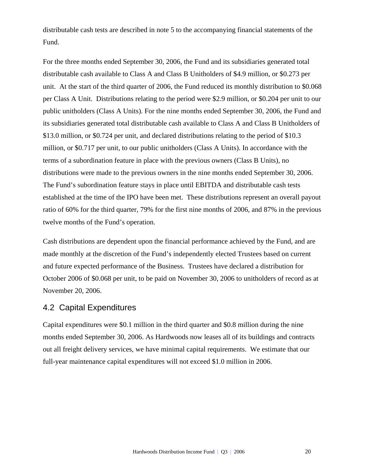distributable cash tests are described in note 5 to the accompanying financial statements of the Fund.

For the three months ended September 30, 2006, the Fund and its subsidiaries generated total distributable cash available to Class A and Class B Unitholders of \$4.9 million, or \$0.273 per unit. At the start of the third quarter of 2006, the Fund reduced its monthly distribution to \$0.068 per Class A Unit. Distributions relating to the period were \$2.9 million, or \$0.204 per unit to our public unitholders (Class A Units). For the nine months ended September 30, 2006, the Fund and its subsidiaries generated total distributable cash available to Class A and Class B Unitholders of \$13.0 million, or \$0.724 per unit, and declared distributions relating to the period of \$10.3 million, or \$0.717 per unit, to our public unitholders (Class A Units). In accordance with the terms of a subordination feature in place with the previous owners (Class B Units), no distributions were made to the previous owners in the nine months ended September 30, 2006. The Fund's subordination feature stays in place until EBITDA and distributable cash tests established at the time of the IPO have been met. These distributions represent an overall payout ratio of 60% for the third quarter, 79% for the first nine months of 2006, and 87% in the previous twelve months of the Fund's operation.

Cash distributions are dependent upon the financial performance achieved by the Fund, and are made monthly at the discretion of the Fund's independently elected Trustees based on current and future expected performance of the Business. Trustees have declared a distribution for October 2006 of \$0.068 per unit, to be paid on November 30, 2006 to unitholders of record as at November 20, 2006.

## 4.2 Capital Expenditures

Capital expenditures were \$0.1 million in the third quarter and \$0.8 million during the nine months ended September 30, 2006. As Hardwoods now leases all of its buildings and contracts out all freight delivery services, we have minimal capital requirements. We estimate that our full-year maintenance capital expenditures will not exceed \$1.0 million in 2006.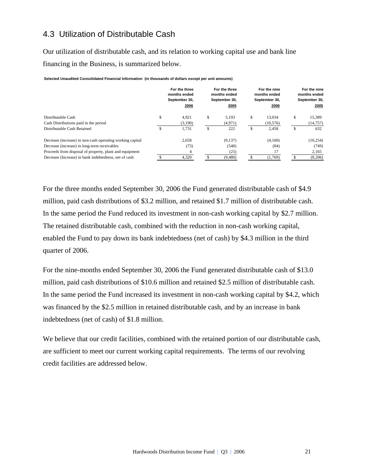## 4.3 Utilization of Distributable Cash

Our utilization of distributable cash, and its relation to working capital use and bank line financing in the Business, is summarized below.

**Selected Unaudited Consolidated Financial Information (in thousands of dollars except per unit amounts)**

|                                                                                                                                                                                                                               | For the three<br>months ended<br>September 30,<br>2006 |          | For the three<br>months ended<br>September 30,<br>2005 |         | For the nine<br>months ended<br>September 30,<br>2006 |         | For the nine<br>months ended<br>September 30,<br>2005 |
|-------------------------------------------------------------------------------------------------------------------------------------------------------------------------------------------------------------------------------|--------------------------------------------------------|----------|--------------------------------------------------------|---------|-------------------------------------------------------|---------|-------------------------------------------------------|
| Distributable Cash<br>Cash Distributions paid in the period<br>Distributable Cash Retained                                                                                                                                    | \$<br>4.921<br>(3,190)<br>1.731                        | \$<br>\$ | 5.193<br>(4,971)<br>222                                | \$<br>Ф | 13.034<br>(10, 576)<br>2.458                          | \$<br>ъ | 15,389<br>(14, 757)<br>632                            |
| Decrease (increase) in non-cash operating working capital<br>Decrease (increase) in long-term receivables<br>Proceeds from disposal of property, plant and equipment<br>Decrease (Increase) in bank indebtedness, net of cash | 2.658<br>(73)<br>4,320                                 |          | (9.137)<br>(540)<br>(25)<br>(9,480)                    |         | (4.160)<br>(84)<br>17<br>(1,769)                      |         | (10, 254)<br>(749)<br>2,165<br>(8,206)                |

For the three months ended September 30, 2006 the Fund generated distributable cash of \$4.9 million, paid cash distributions of \$3.2 million, and retained \$1.7 million of distributable cash. In the same period the Fund reduced its investment in non-cash working capital by \$2.7 million. The retained distributable cash, combined with the reduction in non-cash working capital, enabled the Fund to pay down its bank indebtedness (net of cash) by \$4.3 million in the third quarter of 2006.

For the nine-months ended September 30, 2006 the Fund generated distributable cash of \$13.0 million, paid cash distributions of \$10.6 million and retained \$2.5 million of distributable cash. In the same period the Fund increased its investment in non-cash working capital by \$4.2, which was financed by the \$2.5 million in retained distributable cash, and by an increase in bank indebtedness (net of cash) of \$1.8 million.

We believe that our credit facilities, combined with the retained portion of our distributable cash, are sufficient to meet our current working capital requirements. The terms of our revolving credit facilities are addressed below.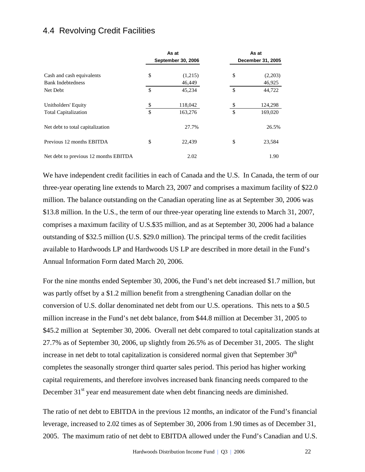## 4.4 Revolving Credit Facilities

|                                       |                    | As at                     |               | As at             |
|---------------------------------------|--------------------|---------------------------|---------------|-------------------|
|                                       |                    | <b>September 30, 2006</b> |               | December 31, 2005 |
| Cash and cash equivalents             | \$                 | (1,215)                   | \$            | (2,203)           |
| <b>Bank Indebtedness</b>              |                    | 46,449                    |               | 46,925            |
| Net Debt                              | <sup>\$</sup>      | 45,234                    | $\mathcal{S}$ | 44,722            |
| Unitholders' Equity                   | S                  | 118,042                   | \$            | 124,298           |
| <b>Total Capitalization</b>           | $\mathbf{\hat{s}}$ | 163,276                   | \$            | 169,020           |
| Net debt to total capitalization      |                    | 27.7%                     |               | 26.5%             |
| Previous 12 months EBITDA             | \$                 | 22.439                    | \$            | 23,584            |
| Net debt to previous 12 months EBITDA |                    | 2.02                      |               | 1.90              |

We have independent credit facilities in each of Canada and the U.S. In Canada, the term of our three-year operating line extends to March 23, 2007 and comprises a maximum facility of \$22.0 million. The balance outstanding on the Canadian operating line as at September 30, 2006 was \$13.8 million. In the U.S., the term of our three-year operating line extends to March 31, 2007, comprises a maximum facility of U.S.\$35 million, and as at September 30, 2006 had a balance outstanding of \$32.5 million (U.S. \$29.0 million). The principal terms of the credit facilities available to Hardwoods LP and Hardwoods US LP are described in more detail in the Fund's Annual Information Form dated March 20, 2006.

For the nine months ended September 30, 2006, the Fund's net debt increased \$1.7 million, but was partly offset by a \$1.2 million benefit from a strengthening Canadian dollar on the conversion of U.S. dollar denominated net debt from our U.S. operations. This nets to a \$0.5 million increase in the Fund's net debt balance, from \$44.8 million at December 31, 2005 to \$45.2 million at September 30, 2006. Overall net debt compared to total capitalization stands at 27.7% as of September 30, 2006, up slightly from 26.5% as of December 31, 2005. The slight increase in net debt to total capitalization is considered normal given that September  $30<sup>th</sup>$ completes the seasonally stronger third quarter sales period. This period has higher working capital requirements, and therefore involves increased bank financing needs compared to the December 31<sup>st</sup> year end measurement date when debt financing needs are diminished.

The ratio of net debt to EBITDA in the previous 12 months, an indicator of the Fund's financial leverage, increased to 2.02 times as of September 30, 2006 from 1.90 times as of December 31, 2005. The maximum ratio of net debt to EBITDA allowed under the Fund's Canadian and U.S.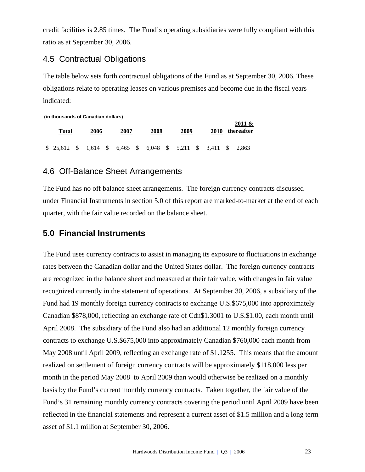credit facilities is 2.85 times. The Fund's operating subsidiaries were fully compliant with this ratio as at September 30, 2006.

## 4.5 Contractual Obligations

The table below sets forth contractual obligations of the Fund as at September 30, 2006. These obligations relate to operating leases on various premises and become due in the fiscal years indicated:

**(in thousands of Canadian dollars)**

| <b>Total</b>                                                    | 2006 | 2007 | 2008 | 2009 | <b>2010</b> | 2011 &<br>thereafter |
|-----------------------------------------------------------------|------|------|------|------|-------------|----------------------|
| \$ 25,612 \$ 1,614 \$ 6,465 \$ 6,048 \$ 5,211 \$ 3,411 \$ 2,863 |      |      |      |      |             |                      |

## 4.6 Off-Balance Sheet Arrangements

The Fund has no off balance sheet arrangements. The foreign currency contracts discussed under Financial Instruments in section 5.0 of this report are marked-to-market at the end of each quarter, with the fair value recorded on the balance sheet.

## **5.0 Financial Instruments**

The Fund uses currency contracts to assist in managing its exposure to fluctuations in exchange rates between the Canadian dollar and the United States dollar. The foreign currency contracts are recognized in the balance sheet and measured at their fair value, with changes in fair value recognized currently in the statement of operations. At September 30, 2006, a subsidiary of the Fund had 19 monthly foreign currency contracts to exchange U.S.\$675,000 into approximately Canadian \$878,000, reflecting an exchange rate of Cdn\$1.3001 to U.S.\$1.00, each month until April 2008. The subsidiary of the Fund also had an additional 12 monthly foreign currency contracts to exchange U.S.\$675,000 into approximately Canadian \$760,000 each month from May 2008 until April 2009, reflecting an exchange rate of \$1.1255. This means that the amount realized on settlement of foreign currency contracts will be approximately \$118,000 less per month in the period May 2008 to April 2009 than would otherwise be realized on a monthly basis by the Fund's current monthly currency contracts. Taken together, the fair value of the Fund's 31 remaining monthly currency contracts covering the period until April 2009 have been reflected in the financial statements and represent a current asset of \$1.5 million and a long term asset of \$1.1 million at September 30, 2006.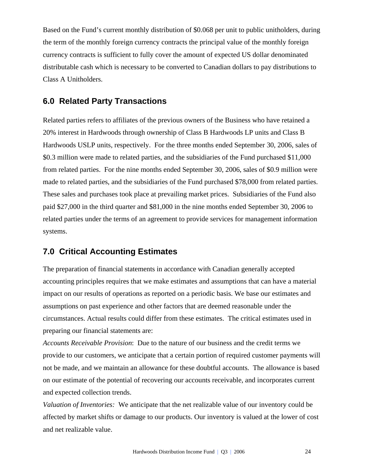Based on the Fund's current monthly distribution of \$0.068 per unit to public unitholders, during the term of the monthly foreign currency contracts the principal value of the monthly foreign currency contracts is sufficient to fully cover the amount of expected US dollar denominated distributable cash which is necessary to be converted to Canadian dollars to pay distributions to Class A Unitholders.

## **6.0 Related Party Transactions**

Related parties refers to affiliates of the previous owners of the Business who have retained a 20% interest in Hardwoods through ownership of Class B Hardwoods LP units and Class B Hardwoods USLP units, respectively. For the three months ended September 30, 2006, sales of \$0.3 million were made to related parties, and the subsidiaries of the Fund purchased \$11,000 from related parties. For the nine months ended September 30, 2006, sales of \$0.9 million were made to related parties, and the subsidiaries of the Fund purchased \$78,000 from related parties. These sales and purchases took place at prevailing market prices. Subsidiaries of the Fund also paid \$27,000 in the third quarter and \$81,000 in the nine months ended September 30, 2006 to related parties under the terms of an agreement to provide services for management information systems.

## **7.0 Critical Accounting Estimates**

The preparation of financial statements in accordance with Canadian generally accepted accounting principles requires that we make estimates and assumptions that can have a material impact on our results of operations as reported on a periodic basis. We base our estimates and assumptions on past experience and other factors that are deemed reasonable under the circumstances. Actual results could differ from these estimates. The critical estimates used in preparing our financial statements are:

*Accounts Receivable Provision*: Due to the nature of our business and the credit terms we provide to our customers, we anticipate that a certain portion of required customer payments will not be made, and we maintain an allowance for these doubtful accounts. The allowance is based on our estimate of the potential of recovering our accounts receivable, and incorporates current and expected collection trends.

*Valuation of Inventories:* We anticipate that the net realizable value of our inventory could be affected by market shifts or damage to our products. Our inventory is valued at the lower of cost and net realizable value.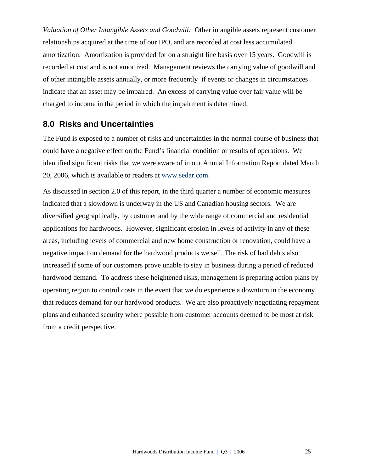*Valuation of Other Intangible Assets and Goodwill:* Other intangible assets represent customer relationships acquired at the time of our IPO, and are recorded at cost less accumulated amortization. Amortization is provided for on a straight line basis over 15 years. Goodwill is recorded at cost and is not amortized. Management reviews the carrying value of goodwill and of other intangible assets annually, or more frequently if events or changes in circumstances indicate that an asset may be impaired. An excess of carrying value over fair value will be charged to income in the period in which the impairment is determined.

## **8.0 Risks and Uncertainties**

The Fund is exposed to a number of risks and uncertainties in the normal course of business that could have a negative effect on the Fund's financial condition or results of operations. We identified significant risks that we were aware of in our Annual Information Report dated March 20, 2006, which is available to readers at www.sedar.com.

As discussed in section 2.0 of this report, in the third quarter a number of economic measures indicated that a slowdown is underway in the US and Canadian housing sectors. We are diversified geographically, by customer and by the wide range of commercial and residential applications for hardwoods. However, significant erosion in levels of activity in any of these areas, including levels of commercial and new home construction or renovation, could have a negative impact on demand for the hardwood products we sell. The risk of bad debts also increased if some of our customers prove unable to stay in business during a period of reduced hardwood demand. To address these heightened risks, management is preparing action plans by operating region to control costs in the event that we do experience a downturn in the economy that reduces demand for our hardwood products. We are also proactively negotiating repayment plans and enhanced security where possible from customer accounts deemed to be most at risk from a credit perspective.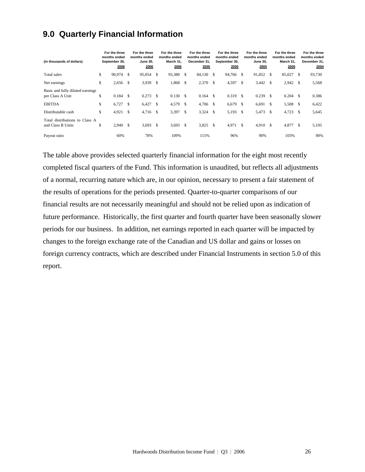## **9.0 Quarterly Financial Information**

| (in thousands of dollars)                            | For the three<br>months ended<br>September 30,<br>2006 |              | For the three<br>months ended<br><b>June 30,</b><br>2006 |      | For the three<br>months ended<br>March 31.<br>2006 |      | For the three<br>months ended<br>December 31.<br>2005 |               | For the three<br>months ended<br>September 30,<br>2005 |               | For the three<br>months ended<br><b>June 30.</b><br>2005 |      | For the three<br>months ended<br>March 31,<br>2005 |      | For the three<br>months ended<br>December 31,<br>2004 |
|------------------------------------------------------|--------------------------------------------------------|--------------|----------------------------------------------------------|------|----------------------------------------------------|------|-------------------------------------------------------|---------------|--------------------------------------------------------|---------------|----------------------------------------------------------|------|----------------------------------------------------|------|-------------------------------------------------------|
| Total sales                                          | \$<br>90.974 \$                                        |              | 95,054                                                   | \$   | 93,380 \$                                          |      | 84,130                                                | -S            | 94,766 \$                                              |               | 91,852                                                   | -S   | 85,027                                             | \$   | 93,730                                                |
| Net earnings                                         | \$<br>$2,656$ \$                                       |              | 3,939                                                    | \$   | 1,868                                              | - \$ | 2,370                                                 | <sup>\$</sup> | 4,597                                                  | \$.           | 3,442                                                    | - \$ | $2,942$ \$                                         |      | 5,568                                                 |
| Basic and fully diluted earnings<br>per Class A Unit | \$<br>$0.184$ \$                                       |              | 0.273                                                    | \$   | 0.130S                                             |      | 0.164                                                 | -S            | $0.319$ \$                                             |               | 0.239                                                    | -S   | 0.204                                              | -S   | 0.386                                                 |
| <b>EBITDA</b>                                        | \$<br>6,727                                            | - \$         | 6,427                                                    | - \$ | 4,579                                              | - \$ | 4,706                                                 | -S            | 6,679                                                  | £.            | 6,691                                                    | -S   | 5,508                                              | -S   | 6,422                                                 |
| Distributable cash                                   | \$<br>4,921                                            | $\mathbf{s}$ | $4,716$ \$                                               |      | 3,397 \$                                           |      | 3,324                                                 | <sup>\$</sup> | 5,193                                                  | <sup>\$</sup> | 5,473                                                    | -S   | 4,723                                              | - \$ | 5,645                                                 |
| Total distributions to Class A<br>and Class B Units  | \$<br>$2,940$ \$                                       |              | 3,693                                                    | -S   | 3,693 \$                                           |      | 3,825                                                 | <sup>\$</sup> | 4,971                                                  | -\$           | 4,910                                                    | - \$ | 4,877                                              | \$   | 5,105                                                 |
| Payout ratio                                         | 60%                                                    |              | 78%                                                      |      | 109%                                               |      | 115%                                                  |               | 96%                                                    |               | 90%                                                      |      | 103%                                               |      | 90%                                                   |

The table above provides selected quarterly financial information for the eight most recently completed fiscal quarters of the Fund. This information is unaudited, but reflects all adjustments of a normal, recurring nature which are, in our opinion, necessary to present a fair statement of the results of operations for the periods presented. Quarter-to-quarter comparisons of our financial results are not necessarily meaningful and should not be relied upon as indication of future performance. Historically, the first quarter and fourth quarter have been seasonally slower periods for our business. In addition, net earnings reported in each quarter will be impacted by changes to the foreign exchange rate of the Canadian and US dollar and gains or losses on foreign currency contracts, which are described under Financial Instruments in section 5.0 of this report.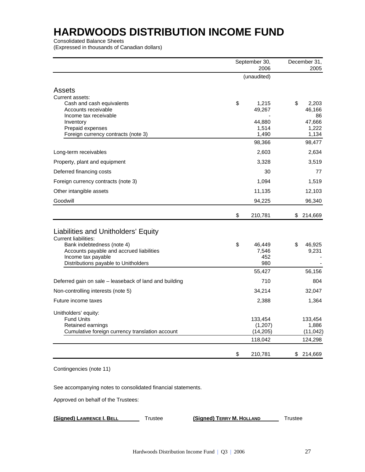Consolidated Balance Sheets

(Expressed in thousands of Canadian dollars)

|                                                                      | September 30,        | December 31,       |
|----------------------------------------------------------------------|----------------------|--------------------|
|                                                                      | 2006<br>(unaudited)  | 2005               |
|                                                                      |                      |                    |
| <b>Assets</b>                                                        |                      |                    |
| Current assets:<br>Cash and cash equivalents                         | \$<br>1,215          | \$<br>2,203        |
| Accounts receivable                                                  | 49,267               | 46,166             |
| Income tax receivable                                                |                      | 86                 |
| Inventory                                                            | 44,880               | 47,666             |
| Prepaid expenses<br>Foreign currency contracts (note 3)              | 1,514<br>1,490       | 1,222<br>1,134     |
|                                                                      | 98,366               | 98,477             |
| Long-term receivables                                                | 2,603                | 2,634              |
| Property, plant and equipment                                        | 3,328                | 3,519              |
| Deferred financing costs                                             | 30                   | 77                 |
| Foreign currency contracts (note 3)                                  | 1,094                | 1,519              |
| Other intangible assets                                              | 11,135               | 12,103             |
| Goodwill                                                             | 94,225               | 96,340             |
|                                                                      | \$<br>210,781        | \$<br>214,669      |
|                                                                      |                      |                    |
| Liabilities and Unitholders' Equity                                  |                      |                    |
| <b>Current liabilities:</b><br>Bank indebtedness (note 4)            | \$<br>46,449         | \$<br>46,925       |
| Accounts payable and accrued liabilities                             | 7,546                | 9,231              |
| Income tax payable                                                   | 452                  |                    |
| Distributions payable to Unitholders                                 | 980                  |                    |
|                                                                      | 55,427               | 56,156             |
| Deferred gain on sale - leaseback of land and building               | 710                  | 804                |
| Non-controlling interests (note 5)                                   | 34,214               | 32,047             |
| Future income taxes                                                  | 2,388                | 1,364              |
| Unitholders' equity:                                                 |                      |                    |
| <b>Fund Units</b>                                                    | 133,454              | 133,454            |
| Retained earnings<br>Cumulative foreign currency translation account | (1,207)<br>(14, 205) | 1,886<br>(11, 042) |
|                                                                      | 118,042              | 124,298            |
|                                                                      |                      |                    |
|                                                                      | \$<br>210,781        | \$<br>214,669      |

Contingencies (note 11)

See accompanying notes to consolidated financial statements.

Approved on behalf of the Trustees:

**(Signed) LAWRENCE I. BELL** Trustee **(Signed) TERRY M. HOLLAND** Trustee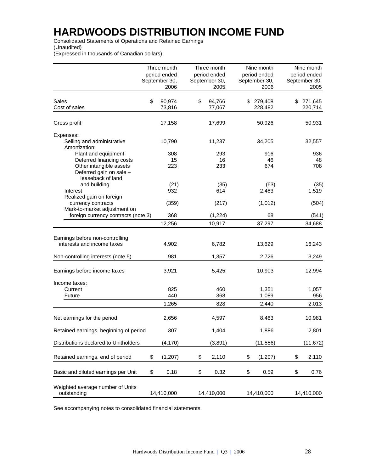Consolidated Statements of Operations and Retained Earnings (Unaudited)

(Expressed in thousands of Canadian dollars)

|                                                                                                     | Three month<br>period ended<br>September 30,<br>2006 | Three month<br>period ended<br>September 30, | 2005       |    | Nine month<br>period ended<br>September 30,<br>2006 | Nine month<br>period ended<br>September 30,<br>2005 |
|-----------------------------------------------------------------------------------------------------|------------------------------------------------------|----------------------------------------------|------------|----|-----------------------------------------------------|-----------------------------------------------------|
| Sales                                                                                               | \$<br>90,974                                         | \$                                           | 94,766     | S. | 279,408                                             | \$<br>271,645                                       |
| Cost of sales                                                                                       | 73,816                                               |                                              | 77,067     |    | 228,482                                             | 220,714                                             |
| Gross profit                                                                                        | 17,158                                               |                                              | 17,699     |    | 50,926                                              | 50,931                                              |
| Expenses:<br>Selling and administrative<br>Amortization:                                            | 10,790                                               |                                              | 11,237     |    | 34,205                                              | 32,557                                              |
| Plant and equipment                                                                                 | 308                                                  |                                              | 293        |    | 916                                                 | 936                                                 |
| Deferred financing costs<br>Other intangible assets<br>Deferred gain on sale -<br>leaseback of land | 15<br>223                                            |                                              | 16<br>233  |    | 46<br>674                                           | 48<br>708                                           |
| and building                                                                                        | (21)                                                 |                                              | (35)       |    | (63)                                                | (35)                                                |
| Interest                                                                                            | 932                                                  |                                              | 614        |    | 2,463                                               | 1,519                                               |
| Realized gain on foreign<br>currency contracts<br>Mark-to-market adjustment on                      | (359)                                                |                                              | (217)      |    | (1,012)                                             | (504)                                               |
| foreign currency contracts (note 3)                                                                 | 368                                                  |                                              | (1,224)    |    | 68                                                  | (541)                                               |
|                                                                                                     | 12,256                                               |                                              | 10,917     |    | 37,297                                              | 34,688                                              |
| Earnings before non-controlling<br>interests and income taxes                                       | 4,902                                                |                                              | 6,782      |    | 13,629                                              | 16,243                                              |
| Non-controlling interests (note 5)                                                                  | 981                                                  |                                              | 1,357      |    | 2,726                                               | 3,249                                               |
| Earnings before income taxes                                                                        | 3,921                                                |                                              | 5,425      |    | 10,903                                              | 12,994                                              |
| Income taxes:<br>Current<br>Future                                                                  | 825<br>440                                           |                                              | 460<br>368 |    | 1,351<br>1,089                                      | 1,057<br>956                                        |
|                                                                                                     | 1,265                                                |                                              | 828        |    | 2,440                                               | 2,013                                               |
| Net earnings for the period                                                                         | 2,656                                                |                                              | 4,597      |    | 8,463                                               | 10,981                                              |
| Retained earnings, beginning of period                                                              | 307                                                  |                                              | 1,404      |    | 1,886                                               | 2,801                                               |
| Distributions declared to Unitholders                                                               | (4, 170)                                             |                                              | (3,891)    |    | (11, 556)                                           | (11, 672)                                           |
| Retained earnings, end of period                                                                    | \$<br>(1, 207)                                       | \$                                           | 2,110      | \$ | (1, 207)                                            | \$<br>2,110                                         |
| Basic and diluted earnings per Unit                                                                 | \$<br>0.18                                           | \$                                           | 0.32       | \$ | 0.59                                                | \$<br>0.76                                          |
| Weighted average number of Units<br>outstanding                                                     | 14,410,000                                           | 14,410,000                                   |            |    | 14,410,000                                          | 14,410,000                                          |

See accompanying notes to consolidated financial statements.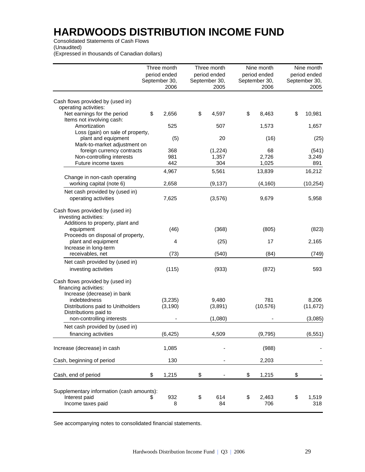Consolidated Statements of Cash Flows

(Unaudited)

(Expressed in thousands of Canadian dollars)

|                                             | Three month   | Three month   | Nine month    | Nine month    |
|---------------------------------------------|---------------|---------------|---------------|---------------|
|                                             | period ended  | period ended  | period ended  | period ended  |
|                                             | September 30, | September 30, | September 30, | September 30, |
|                                             | 2006          | 2005          | 2006          | 2005          |
|                                             |               |               |               |               |
| Cash flows provided by (used in)            |               |               |               |               |
| operating activities:                       |               |               |               |               |
| Net earnings for the period                 | \$<br>2,656   | \$<br>4,597   | \$<br>8,463   | \$<br>10,981  |
| Items not involving cash:                   |               |               |               |               |
| Amortization                                | 525           | 507           | 1,573         | 1,657         |
| Loss (gain) on sale of property,            |               |               |               |               |
| plant and equipment                         | (5)           | 20            | (16)          | (25)          |
| Mark-to-market adjustment on                |               |               |               |               |
| foreign currency contracts                  | 368           | (1,224)       | 68            | (541)         |
| Non-controlling interests                   | 981           | 1,357         | 2,726         | 3,249         |
| Future income taxes                         | 442           | 304           | 1,025         | 891           |
|                                             | 4,967         | 5,561         | 13,839        | 16,212        |
| Change in non-cash operating                |               |               |               |               |
| working capital (note 6)                    | 2,658         | (9, 137)      | (4, 160)      | (10, 254)     |
| Net cash provided by (used in)              |               |               |               |               |
| operating activities                        | 7,625         | (3,576)       | 9,679         | 5,958         |
|                                             |               |               |               |               |
| Cash flows provided by (used in)            |               |               |               |               |
| investing activities:                       |               |               |               |               |
| Additions to property, plant and            |               |               |               |               |
| equipment                                   | (46)          | (368)         | (805)         | (823)         |
| Proceeds on disposal of property,           |               |               |               |               |
| plant and equipment                         | 4             | (25)          | 17            | 2,165         |
| Increase in long-term                       |               |               |               |               |
| receivables, net                            | (73)          | (540)         | (84)          | (749)         |
| Net cash provided by (used in)              |               |               |               |               |
|                                             |               |               |               |               |
| investing activities                        | (115)         | (933)         | (872)         | 593           |
|                                             |               |               |               |               |
| Cash flows provided by (used in)            |               |               |               |               |
| financing activities:                       |               |               |               |               |
| Increase (decrease) in bank<br>indebtedness | (3,235)       | 9,480         | 781           | 8,206         |
| Distributions paid to Unitholders           |               |               | (10, 576)     |               |
| Distributions paid to                       | (3, 190)      | (3,891)       |               | (11, 672)     |
| non-controlling interests                   |               | (1,080)       |               | (3,085)       |
|                                             |               |               |               |               |
| Net cash provided by (used in)              |               |               |               |               |
| financing activities                        | (6, 425)      | 4,509         | (9,795)       | (6, 551)      |
|                                             |               |               |               |               |
| Increase (decrease) in cash                 | 1,085         |               | (988)         |               |
|                                             |               |               |               |               |
| Cash, beginning of period                   | 130           |               | 2,203         |               |
|                                             |               |               |               |               |
| Cash, end of period                         | \$<br>1,215   | \$            | \$<br>1,215   | \$            |
|                                             |               |               |               |               |
|                                             |               |               |               |               |
| Supplementary information (cash amounts):   |               |               |               |               |
| Interest paid                               | \$<br>932     | \$<br>614     | \$<br>2,463   | \$<br>1,519   |
| Income taxes paid                           | 8             | 84            | 706           | 318           |
|                                             |               |               |               |               |

See accompanying notes to consolidated financial statements.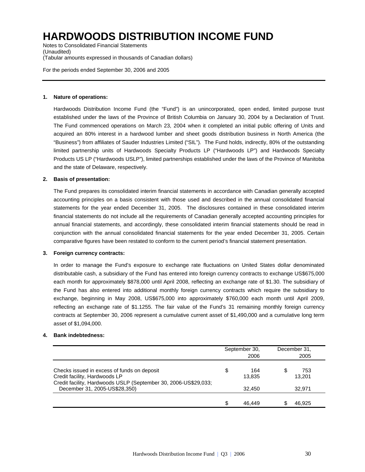Notes to Consolidated Financial Statements (Unaudited) (Tabular amounts expressed in thousands of Canadian dollars)

For the periods ended September 30, 2006 and 2005

#### **1. Nature of operations:**

Hardwoods Distribution Income Fund (the "Fund") is an unincorporated, open ended, limited purpose trust established under the laws of the Province of British Columbia on January 30, 2004 by a Declaration of Trust. The Fund commenced operations on March 23, 2004 when it completed an initial public offering of Units and acquired an 80% interest in a hardwood lumber and sheet goods distribution business in North America (the "Business") from affiliates of Sauder Industries Limited ("SIL"). The Fund holds, indirectly, 80% of the outstanding limited partnership units of Hardwoods Specialty Products LP ("Hardwoods LP") and Hardwoods Specialty Products US LP ("Hardwoods USLP"), limited partnerships established under the laws of the Province of Manitoba and the state of Delaware, respectively.

#### **2. Basis of presentation:**

The Fund prepares its consolidated interim financial statements in accordance with Canadian generally accepted accounting principles on a basis consistent with those used and described in the annual consolidated financial statements for the year ended December 31, 2005. The disclosures contained in these consolidated interim financial statements do not include all the requirements of Canadian generally accepted accounting principles for annual financial statements, and accordingly, these consolidated interim financial statements should be read in conjunction with the annual consolidated financial statements for the year ended December 31, 2005. Certain comparative figures have been restated to conform to the current period's financial statement presentation.

#### **3. Foreign currency contracts:**

In order to manage the Fund's exposure to exchange rate fluctuations on United States dollar denominated distributable cash, a subsidiary of the Fund has entered into foreign currency contracts to exchange US\$675,000 each month for approximately \$878,000 until April 2008, reflecting an exchange rate of \$1.30. The subsidiary of the Fund has also entered into additional monthly foreign currency contracts which require the subsidiary to exchange, beginning in May 2008, US\$675,000 into approximately \$760,000 each month until April 2009, reflecting an exchange rate of \$1.1255. The fair value of the Fund's 31 remaining monthly foreign currency contracts at September 30, 2006 represent a cumulative current asset of \$1,490,000 and a cumulative long term asset of \$1,094,000.

#### **4. Bank indebtedness:**

|                                                                                                                                                 | September 30,<br>2006 |     | December 31,<br>2005 |
|-------------------------------------------------------------------------------------------------------------------------------------------------|-----------------------|-----|----------------------|
| Checks issued in excess of funds on deposit<br>Credit facility, Hardwoods LP<br>Credit facility, Hardwoods USLP (September 30, 2006-US\$29,033; | \$<br>164<br>13,835   | \$. | 753<br>13,201        |
| December 31, 2005-US\$28,350)                                                                                                                   | 32.450                |     | 32.971               |
|                                                                                                                                                 | \$<br>46.449          |     | 46.925               |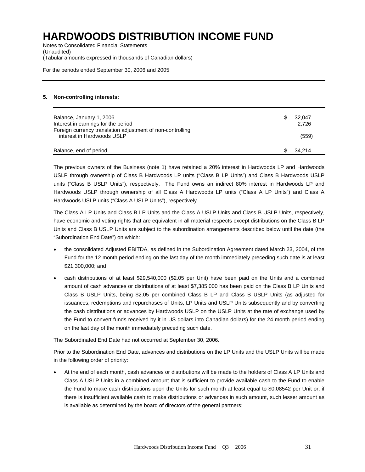Notes to Consolidated Financial Statements (Unaudited) (Tabular amounts expressed in thousands of Canadian dollars)

For the periods ended September 30, 2006 and 2005

#### **5. Non-controlling interests:**

| Balance, January 1, 2006<br>Interest in earnings for the period<br>Foreign currency translation adjustment of non-controlling | 32.047<br>2,726 |
|-------------------------------------------------------------------------------------------------------------------------------|-----------------|
| interest in Hardwoods USLP                                                                                                    | (559)           |
| Balance, end of period                                                                                                        | 34.214          |

The previous owners of the Business (note 1) have retained a 20% interest in Hardwoods LP and Hardwoods USLP through ownership of Class B Hardwoods LP units ("Class B LP Units") and Class B Hardwoods USLP units ("Class B USLP Units"), respectively. The Fund owns an indirect 80% interest in Hardwoods LP and Hardwoods USLP through ownership of all Class A Hardwoods LP units ("Class A LP Units") and Class A Hardwoods USLP units ("Class A USLP Units"), respectively.

The Class A LP Units and Class B LP Units and the Class A USLP Units and Class B USLP Units, respectively, have economic and voting rights that are equivalent in all material respects except distributions on the Class B LP Units and Class B USLP Units are subject to the subordination arrangements described below until the date (the "Subordination End Date") on which:

- the consolidated Adjusted EBITDA, as defined in the Subordination Agreement dated March 23, 2004, of the Fund for the 12 month period ending on the last day of the month immediately preceding such date is at least \$21,300,000; and
- cash distributions of at least \$29,540,000 (\$2.05 per Unit) have been paid on the Units and a combined amount of cash advances or distributions of at least \$7,385,000 has been paid on the Class B LP Units and Class B USLP Units, being \$2.05 per combined Class B LP and Class B USLP Units (as adjusted for issuances, redemptions and repurchases of Units, LP Units and USLP Units subsequently and by converting the cash distributions or advances by Hardwoods USLP on the USLP Units at the rate of exchange used by the Fund to convert funds received by it in US dollars into Canadian dollars) for the 24 month period ending on the last day of the month immediately preceding such date.

The Subordinated End Date had not occurred at September 30, 2006.

Prior to the Subordination End Date, advances and distributions on the LP Units and the USLP Units will be made in the following order of priority:

• At the end of each month, cash advances or distributions will be made to the holders of Class A LP Units and Class A USLP Units in a combined amount that is sufficient to provide available cash to the Fund to enable the Fund to make cash distributions upon the Units for such month at least equal to \$0.08542 per Unit or, if there is insufficient available cash to make distributions or advances in such amount, such lesser amount as is available as determined by the board of directors of the general partners;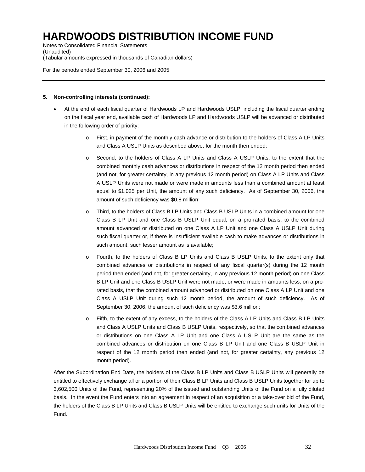Notes to Consolidated Financial Statements (Unaudited) (Tabular amounts expressed in thousands of Canadian dollars)

For the periods ended September 30, 2006 and 2005

#### **5. Non-controlling interests (continued):**

- At the end of each fiscal quarter of Hardwoods LP and Hardwoods USLP, including the fiscal quarter ending on the fiscal year end, available cash of Hardwoods LP and Hardwoods USLP will be advanced or distributed in the following order of priority:
	- o First, in payment of the monthly cash advance or distribution to the holders of Class A LP Units and Class A USLP Units as described above, for the month then ended;
	- o Second, to the holders of Class A LP Units and Class A USLP Units, to the extent that the combined monthly cash advances or distributions in respect of the 12 month period then ended (and not, for greater certainty, in any previous 12 month period) on Class A LP Units and Class A USLP Units were not made or were made in amounts less than a combined amount at least equal to \$1.025 per Unit, the amount of any such deficiency. As of September 30, 2006, the amount of such deficiency was \$0.8 million;
	- o Third, to the holders of Class B LP Units and Class B USLP Units in a combined amount for one Class B LP Unit and one Class B USLP Unit equal, on a pro-rated basis, to the combined amount advanced or distributed on one Class A LP Unit and one Class A USLP Unit during such fiscal quarter or, if there is insufficient available cash to make advances or distributions in such amount, such lesser amount as is available;
	- o Fourth, to the holders of Class B LP Units and Class B USLP Units, to the extent only that combined advances or distributions in respect of any fiscal quarter(s) during the 12 month period then ended (and not, for greater certainty, in any previous 12 month period) on one Class B LP Unit and one Class B USLP Unit were not made, or were made in amounts less, on a prorated basis, that the combined amount advanced or distributed on one Class A LP Unit and one Class A USLP Unit during such 12 month period, the amount of such deficiency. As of September 30, 2006, the amount of such deficiency was \$3.6 million;
	- o Fifth, to the extent of any excess, to the holders of the Class A LP Units and Class B LP Units and Class A USLP Units and Class B USLP Units, respectively, so that the combined advances or distributions on one Class A LP Unit and one Class A USLP Unit are the same as the combined advances or distribution on one Class B LP Unit and one Class B USLP Unit in respect of the 12 month period then ended (and not, for greater certainty, any previous 12 month period).

After the Subordination End Date, the holders of the Class B LP Units and Class B USLP Units will generally be entitled to effectively exchange all or a portion of their Class B LP Units and Class B USLP Units together for up to 3,602,500 Units of the Fund, representing 20% of the issued and outstanding Units of the Fund on a fully diluted basis. In the event the Fund enters into an agreement in respect of an acquisition or a take-over bid of the Fund, the holders of the Class B LP Units and Class B USLP Units will be entitled to exchange such units for Units of the Fund.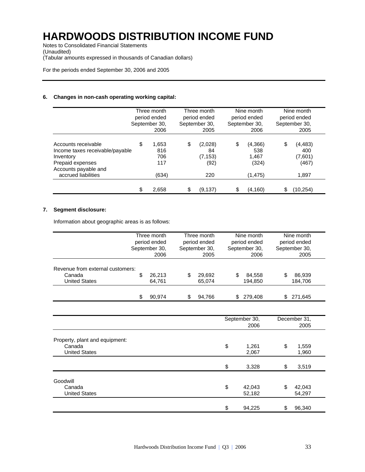Notes to Consolidated Financial Statements (Unaudited) (Tabular amounts expressed in thousands of Canadian dollars)

For the periods ended September 30, 2006 and 2005

#### **6. Changes in non-cash operating working capital:**

|                                                                                                                                        | Three month<br>period ended<br>September 30,<br>2006 | Three month<br>period ended<br>September 30,<br>2005 | Nine month<br>period ended<br>September 30,<br>2006 | Nine month<br>period ended<br>September 30,<br>2005 |
|----------------------------------------------------------------------------------------------------------------------------------------|------------------------------------------------------|------------------------------------------------------|-----------------------------------------------------|-----------------------------------------------------|
| Accounts receivable<br>Income taxes receivable/payable<br>Inventory<br>Prepaid expenses<br>Accounts payable and<br>accrued liabilities | \$<br>1.653<br>816<br>706<br>117<br>(634)            | \$<br>(2,028)<br>84<br>(7, 153)<br>(92)<br>220       | \$<br>(4,366)<br>538<br>1.467<br>(324)<br>(1, 475)  | \$<br>(4,483)<br>400<br>(7,601)<br>(467)<br>1,897   |
|                                                                                                                                        | \$<br>2,658                                          | (9.137)                                              | \$<br>(4, 160)                                      | (10,254)                                            |

#### **7. Segment disclosure:**

Information about geographic areas is as follows:

|                                          | Three month<br>period ended<br>September 30, |        | Three month<br>period ended<br>September 30, |        | Nine month<br>period ended<br>September 30, |         | Nine month<br>period ended<br>September 30, |         |
|------------------------------------------|----------------------------------------------|--------|----------------------------------------------|--------|---------------------------------------------|---------|---------------------------------------------|---------|
|                                          |                                              |        |                                              |        |                                             |         |                                             |         |
|                                          |                                              |        |                                              |        |                                             |         |                                             |         |
|                                          |                                              | 2006   |                                              | 2005   |                                             | 2006    |                                             | 2005    |
| Revenue from external customers:         |                                              |        |                                              |        |                                             |         |                                             |         |
| Canada                                   | \$                                           | 26,213 | \$                                           | 29,692 | \$                                          | 84,558  | \$                                          | 86,939  |
| <b>United States</b>                     |                                              | 64,761 |                                              | 65,074 |                                             | 194,850 |                                             | 184,706 |
|                                          |                                              |        |                                              |        |                                             |         |                                             |         |
|                                          | \$                                           | 90,974 | \$                                           | 94,766 | \$                                          | 279,408 | \$                                          | 271,645 |
|                                          |                                              |        |                                              |        |                                             |         |                                             |         |
|                                          |                                              |        |                                              |        | September 30,                               |         | December 31,                                |         |
|                                          |                                              |        |                                              |        |                                             | 2006    |                                             | 2005    |
| Property, plant and equipment:<br>Canada |                                              |        |                                              |        | \$                                          | 1,261   | \$                                          | 1,559   |
| <b>United States</b>                     |                                              |        |                                              |        |                                             | 2,067   |                                             | 1,960   |
|                                          |                                              |        |                                              |        |                                             |         |                                             |         |
|                                          |                                              |        |                                              |        | \$                                          | 3,328   | \$                                          | 3,519   |
| Goodwill                                 |                                              |        |                                              |        |                                             |         |                                             |         |
| Canada                                   |                                              |        |                                              |        | \$                                          | 42,043  | \$                                          | 42,043  |
| <b>United States</b>                     |                                              |        |                                              |        |                                             | 52,182  |                                             | 54,297  |
|                                          |                                              |        |                                              |        |                                             |         |                                             |         |
|                                          |                                              |        |                                              |        | \$                                          | 94,225  | \$                                          | 96,340  |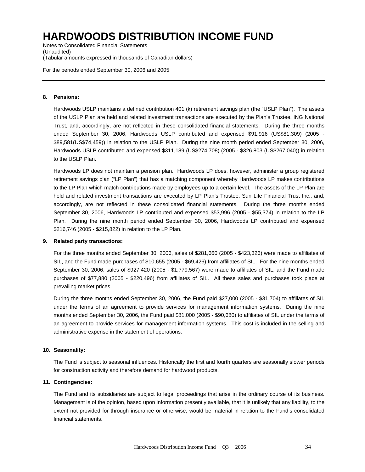Notes to Consolidated Financial Statements (Unaudited) (Tabular amounts expressed in thousands of Canadian dollars)

For the periods ended September 30, 2006 and 2005

#### **8. Pensions:**

Hardwoods USLP maintains a defined contribution 401 (k) retirement savings plan (the "USLP Plan"). The assets of the USLP Plan are held and related investment transactions are executed by the Plan's Trustee, ING National Trust, and, accordingly, are not reflected in these consolidated financial statements. During the three months ended September 30, 2006, Hardwoods USLP contributed and expensed \$91,916 (US\$81,309) (2005 - \$89,581(US\$74,459)) in relation to the USLP Plan. During the nine month period ended September 30, 2006, Hardwoods USLP contributed and expensed \$311,189 (US\$274,708) (2005 - \$326,803 (US\$267,040)) in relation to the USLP Plan.

Hardwoods LP does not maintain a pension plan. Hardwoods LP does, however, administer a group registered retirement savings plan ("LP Plan") that has a matching component whereby Hardwoods LP makes contributions to the LP Plan which match contributions made by employees up to a certain level. The assets of the LP Plan are held and related investment transactions are executed by LP Plan's Trustee, Sun Life Financial Trust Inc., and, accordingly, are not reflected in these consolidated financial statements. During the three months ended September 30, 2006, Hardwoods LP contributed and expensed \$53,996 (2005 - \$55,374) in relation to the LP Plan. During the nine month period ended September 30, 2006, Hardwoods LP contributed and expensed \$216,746 (2005 - \$215,822) in relation to the LP Plan.

#### **9. Related party transactions:**

For the three months ended September 30, 2006, sales of \$281,660 (2005 - \$423,326) were made to affiliates of SIL, and the Fund made purchases of \$10,655 (2005 - \$69,426) from affiliates of SIL. For the nine months ended September 30, 2006, sales of \$927,420 (2005 - \$1,779,567) were made to affiliates of SIL, and the Fund made purchases of \$77,880 (2005 - \$220,496) from affiliates of SIL. All these sales and purchases took place at prevailing market prices.

During the three months ended September 30, 2006, the Fund paid \$27,000 (2005 - \$31,704) to affiliates of SIL under the terms of an agreement to provide services for management information systems. During the nine months ended September 30, 2006, the Fund paid \$81,000 (2005 - \$90,680) to affiliates of SIL under the terms of an agreement to provide services for management information systems. This cost is included in the selling and administrative expense in the statement of operations.

#### **10. Seasonality:**

The Fund is subject to seasonal influences. Historically the first and fourth quarters are seasonally slower periods for construction activity and therefore demand for hardwood products.

#### **11. Contingencies:**

The Fund and its subsidiaries are subject to legal proceedings that arise in the ordinary course of its business. Management is of the opinion, based upon information presently available, that it is unlikely that any liability, to the extent not provided for through insurance or otherwise, would be material in relation to the Fund's consolidated financial statements.